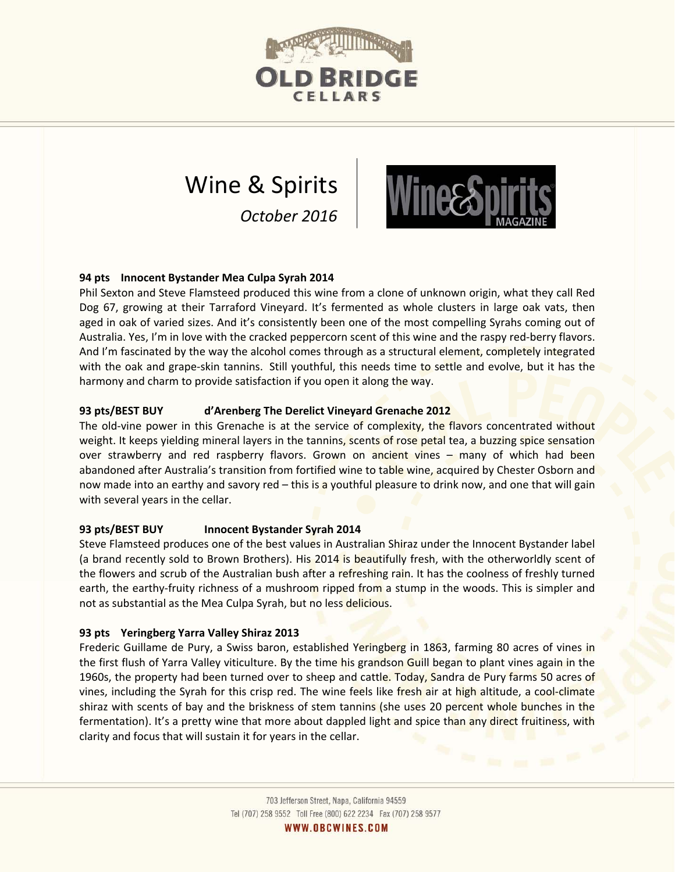

# Wine & Spirits *October 2016*



# **94 pts Innocent Bystander Mea Culpa Syrah 2014**

Phil Sexton and Steve Flamsteed produced this wine from a clone of unknown origin, what they call Red Dog 67, growing at their Tarraford Vineyard. It's fermented as whole clusters in large oak vats, then aged in oak of varied sizes. And it's consistently been one of the most compelling Syrahs coming out of Australia. Yes, I'm in love with the cracked peppercorn scent of this wine and the raspy red-berry flavors. And I'm fascinated by the way the alcohol comes through as a structural element, completely integrated with the oak and grape-skin tannins. Still youthful, this needs time to settle and evolve, but it has the harmony and charm to provide satisfaction if you open it along the way.

# **93 pts/BEST BUY d'Arenberg The Derelict Vineyard Grenache 2012**

The old-vine power in this Grenache is at the service of complexity, the flavors concentrated without weight. It keeps yielding mineral layers in the tannins, scents of rose petal tea, a buzzing spice sensation over strawberry and red raspberry flavors. Grown on ancient vines – many of which had been abandoned after Australia's transition from fortified wine to table wine, acquired by Chester Osborn and now made into an earthy and savory red – this is a youthful pleasure to drink now, and one that will gain with several years in the cellar.

# **93 pts/BEST BUY Innocent Bystander Syrah 2014**

Steve Flamsteed produces one of the best values in Australian Shiraz under the Innocent Bystander label (a brand recently sold to Brown Brothers). His 2014 is beautifully fresh, with the otherworldly scent of the flowers and scrub of the Australian bush after a refreshing rain. It has the coolness of freshly turned earth, the earthy-fruity richness of a mushroom ripped from a stump in the woods. This is simpler and not as substantial as the Mea Culpa Syrah, but no less delicious.

# **93 pts Yeringberg Yarra Valley Shiraz 2013**

Frederic Guillame de Pury, a Swiss baron, established Yeringberg in 1863, farming 80 acres of vines in the first flush of Yarra Valley viticulture. By the time his grandson Guill began to plant vines again in the 1960s, the property had been turned over to sheep and cattle. Today, Sandra de Pury farms 50 acres of vines, including the Syrah for this crisp red. The wine feels like fresh air at high altitude, a cool-climate shiraz with scents of bay and the briskness of stem tannins (she uses 20 percent whole bunches in the fermentation). It's a pretty wine that more about dappled light and spice than any direct fruitiness, with clarity and focus that will sustain it for years in the cellar.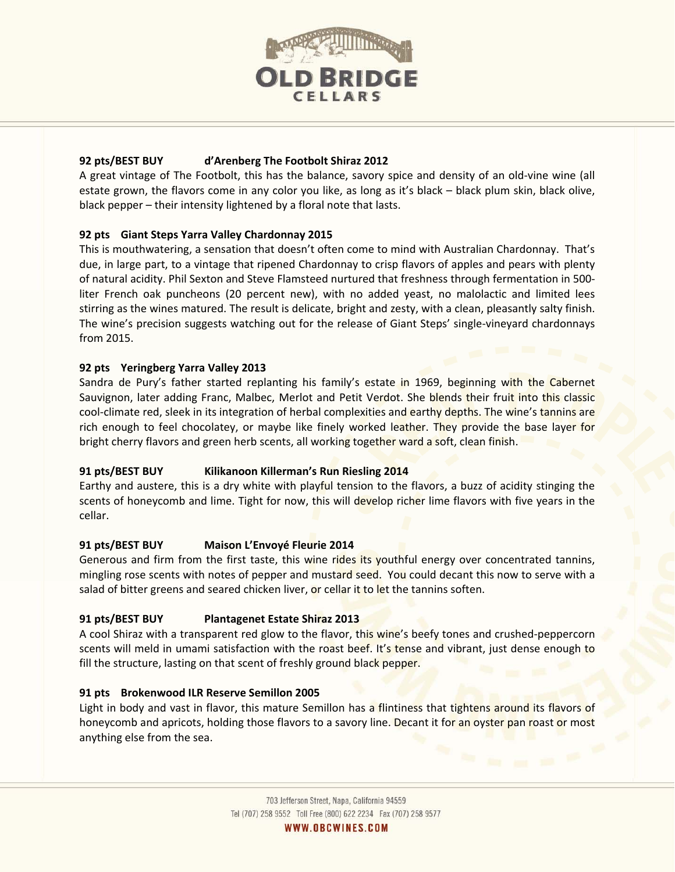

# **92 pts/BEST BUY d'Arenberg The Footbolt Shiraz 2012**

A great vintage of The Footbolt, this has the balance, savory spice and density of an old-vine wine (all estate grown, the flavors come in any color you like, as long as it's black – black plum skin, black olive, black pepper – their intensity lightened by a floral note that lasts.

# **92 pts Giant Steps Yarra Valley Chardonnay 2015**

This is mouthwatering, a sensation that doesn't often come to mind with Australian Chardonnay. That's due, in large part, to a vintage that ripened Chardonnay to crisp flavors of apples and pears with plenty of natural acidity. Phil Sexton and Steve Flamsteed nurtured that freshness through fermentation in 500 liter French oak puncheons (20 percent new), with no added yeast, no malolactic and limited lees stirring as the wines matured. The result is delicate, bright and zesty, with a clean, pleasantly salty finish. The wine's precision suggests watching out for the release of Giant Steps' single-vineyard chardonnays from 2015.

# **92 pts Yeringberg Yarra Valley 2013**

Sandra de Pury's father started replanting his family's estate in 1969, beginning with the Cabernet Sauvignon, later adding Franc, Malbec, Merlot and Petit Verdot. She blends their fruit into this classic cool-climate red, sleek in its integration of herbal complexities and earthy depths. The wine's tannins are rich enough to feel chocolatey, or maybe like finely worked leather. They provide the base layer for bright cherry flavors and green herb scents, all working together ward a soft, clean finish.

# **91 pts/BEST BUY Kilikanoon Killerman's Run Riesling 2014**

Earthy and austere, this is a dry white with playful tension to the flavors, a buzz of acidity stinging the scents of honeycomb and lime. Tight for now, this will develop richer lime flavors with five years in the cellar.

# **91 pts/BEST BUY Maison L'Envoyé Fleurie 2014**

Generous and firm from the first taste, this wine rides its youthful energy over concentrated tannins, mingling rose scents with notes of pepper and mustard seed. You could decant this now to serve with a salad of bitter greens and seared chicken liver, or cellar it to let the tannins soften.

# **91 pts/BEST BUY Plantagenet Estate Shiraz 2013**

A cool Shiraz with a transparent red glow to the flavor, this wine's beefy tones and crushed-peppercorn scents will meld in umami satisfaction with the roast beef. It's tense and vibrant, just dense enough to fill the structure, lasting on that scent of freshly ground black pepper.

# **91 pts Brokenwood ILR Reserve Semillon 2005**

Light in body and vast in flavor, this mature Semillon has a flintiness that tightens around its flavors of honeycomb and apricots, holding those flavors to a savory line. Decant it for an oyster pan roast or most anything else from the sea.

WWW.OBCWINES.COM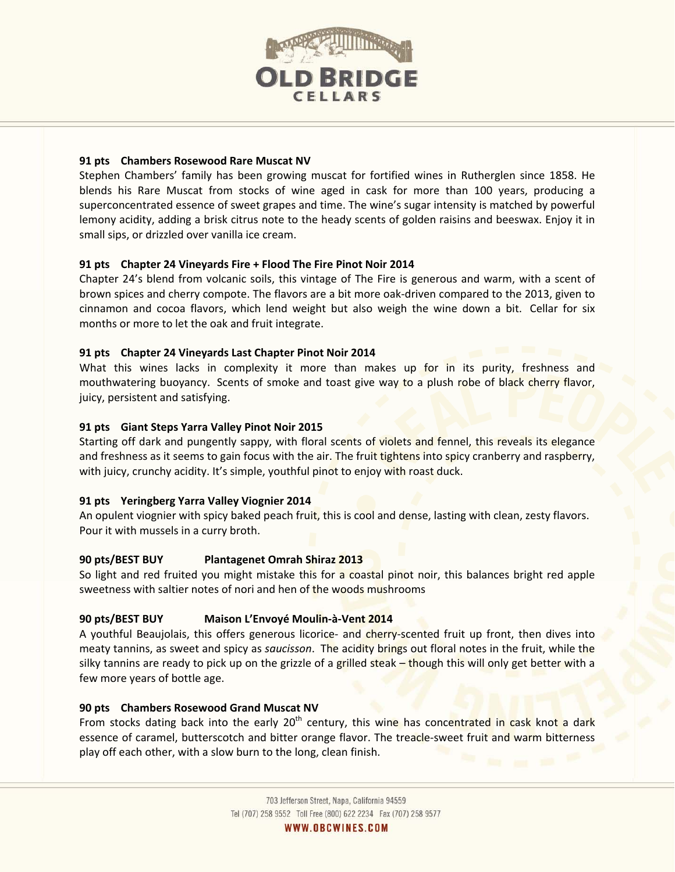

#### **91 pts Chambers Rosewood Rare Muscat NV**

Stephen Chambers' family has been growing muscat for fortified wines in Rutherglen since 1858. He blends his Rare Muscat from stocks of wine aged in cask for more than 100 years, producing a superconcentrated essence of sweet grapes and time. The wine's sugar intensity is matched by powerful lemony acidity, adding a brisk citrus note to the heady scents of golden raisins and beeswax. Enjoy it in small sips, or drizzled over vanilla ice cream.

#### **91 pts Chapter 24 Vineyards Fire + Flood The Fire Pinot Noir 2014**

Chapter 24's blend from volcanic soils, this vintage of The Fire is generous and warm, with a scent of brown spices and cherry compote. The flavors are a bit more oak-driven compared to the 2013, given to cinnamon and cocoa flavors, which lend weight but also weigh the wine down a bit. Cellar for six months or more to let the oak and fruit integrate.

#### **91 pts Chapter 24 Vineyards Last Chapter Pinot Noir 2014**

What this wines lacks in complexity it more than makes up for in its purity, freshness and mouthwatering buoyancy. Scents of smoke and toast give way to a plush robe of black cherry flavor, juicy, persistent and satisfying.

#### **91 pts Giant Steps Yarra Valley Pinot Noir 2015**

Starting off dark and pungently sappy, with floral scents of violets and fennel, this reveals its elegance and freshness as it seems to gain focus with the air. The fruit tightens into spicy cranberry and raspberry, with juicy, crunchy acidity. It's simple, youthful pinot to enjoy with roast duck.

#### **91 pts Yeringberg Yarra Valley Viognier 2014**

An opulent viognier with spicy baked peach fruit, this is cool and dense, lasting with clean, zesty flavors. Pour it with mussels in a curry broth.

#### **90 pts/BEST BUY Plantagenet Omrah Shiraz 2013**

So light and red fruited you might mistake this for a coastal pinot noir, this balances bright red apple sweetness with saltier notes of nori and hen of the woods mushrooms

# **90 pts/BEST BUY Maison L'Envoyé Moulin-à-Vent 2014**

A youthful Beaujolais, this offers generous licorice- and cherry-scented fruit up front, then dives into meaty tannins, as sweet and spicy as *saucisson*. The acidity brings out floral notes in the fruit, while the silky tannins are ready to pick up on the grizzle of a grilled steak  $-$  though this will only get better with a few more years of bottle age.

#### **90 pts Chambers Rosewood Grand Muscat NV**

From stocks dating back into the early 20<sup>th</sup> century, this wine has concentrated in cask knot a dark essence of caramel, butterscotch and bitter orange flavor. The treacle-sweet fruit and warm bitterness play off each other, with a slow burn to the long, clean finish.

WWW.OBCWINES.COM